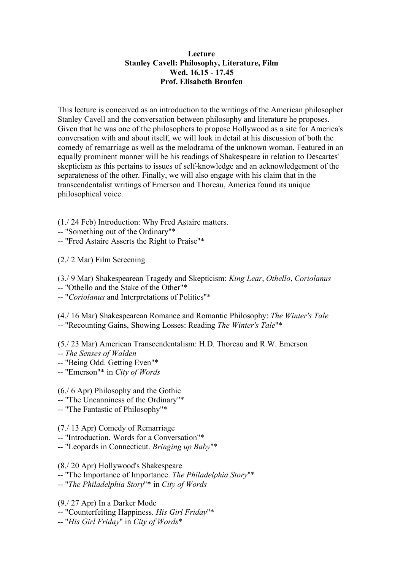## **Lecture Stanley Cavell: Philosophy, Literature, Film Wed. 16.15 - 17.45 Prof. Elisabeth Bronfen**

This lecture is conceived as an introduction to the writings of the American philosopher Stanley Cavell and the conversation between philosophy and literature he proposes. Given that he was one of the philosophers to propose Hollywood as a site for America's conversation with and about itself, we will look in detail at his discussion of both the comedy of remarriage as well as the melodrama of the unknown woman. Featured in an equally prominent manner will be his readings of Shakespeare in relation to Descartes' skepticism as this pertains to issues of self-knowledge and an acknowledgement of the separateness of the other. Finally, we will also engage with his claim that in the transcendentalist writings of Emerson and Thoreau, America found its unique philosophical voice.

(1./ 24 Feb) Introduction: Why Fred Astaire matters.

- -- "Something out of the Ordinary"\*
- -- "Fred Astaire Asserts the Right to Praise"\*

(2./ 2 Mar) Film Screening

(3./ 9 Mar) Shakespearean Tragedy and Skepticism: *King Lear*, *Othello*, *Coriolanus*

-- "Othello and the Stake of the Other"\*

-- "*Coriolanus* and Interpretations of Politics"\*

(4./ 16 Mar) Shakespearean Romance and Romantic Philosophy: *The Winter's Tale* -- "Recounting Gains, Showing Losses: Reading *The Winter's Tale*"\*

(5./ 23 Mar) American Transcendentalism: H.D. Thoreau and R.W. Emerson

- -- *The Senses of Walden*
- -- "Being Odd. Getting Even"\*
- -- "Emerson"\* in *City of Words*

(6./ 6 Apr) Philosophy and the Gothic

-- "The Uncanniness of the Ordinary"\*

-- "The Fantastic of Philosophy"\*

(7./ 13 Apr) Comedy of Remarriage

-- "Introduction. Words for a Conversation"\*

-- "Leopards in Connecticut. *Bringing up Baby*"\*

(8./ 20 Apr) Hollywood's Shakespeare

-- "The Importance of Importance. *The Philadelphia Story*"\*

-- "*The Philadelphia Story*"\* in *City of Words*

(9./ 27 Apr) In a Darker Mode

-- "Counterfeiting Happiness. *His Girl Friday*"\*

-- "*His Girl Friday*" in *City of Words*\*